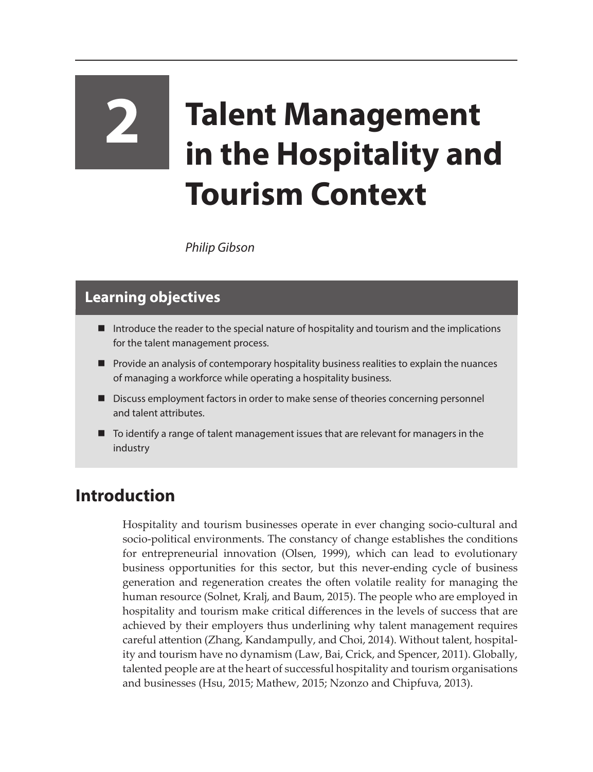## **2 Talent Management in the Hospitality and Tourism Context**

*Philip Gibson*

## **Learning objectives**

- Introduce the reader to the special nature of hospitality and tourism and the implications for the talent management process.
- Provide an analysis of contemporary hospitality business realities to explain the nuances of managing a workforce while operating a hospitality business.
- Discuss employment factors in order to make sense of theories concerning personnel and talent attributes.
- To identify a range of talent management issues that are relevant for managers in the industry

## **Introduction**

Hospitality and tourism businesses operate in ever changing socio-cultural and socio-political environments. The constancy of change establishes the conditions for entrepreneurial innovation (Olsen, 1999), which can lead to evolutionary business opportunities for this sector, but this never-ending cycle of business generation and regeneration creates the often volatile reality for managing the human resource (Solnet, Kralj, and Baum, 2015). The people who are employed in hospitality and tourism make critical differences in the levels of success that are achieved by their employers thus underlining why talent management requires careful attention (Zhang, Kandampully, and Choi, 2014). Without talent, hospitality and tourism have no dynamism (Law, Bai, Crick, and Spencer, 2011). Globally, talented people are at the heart of successful hospitality and tourism organisations and businesses (Hsu, 2015; Mathew, 2015; Nzonzo and Chipfuva, 2013).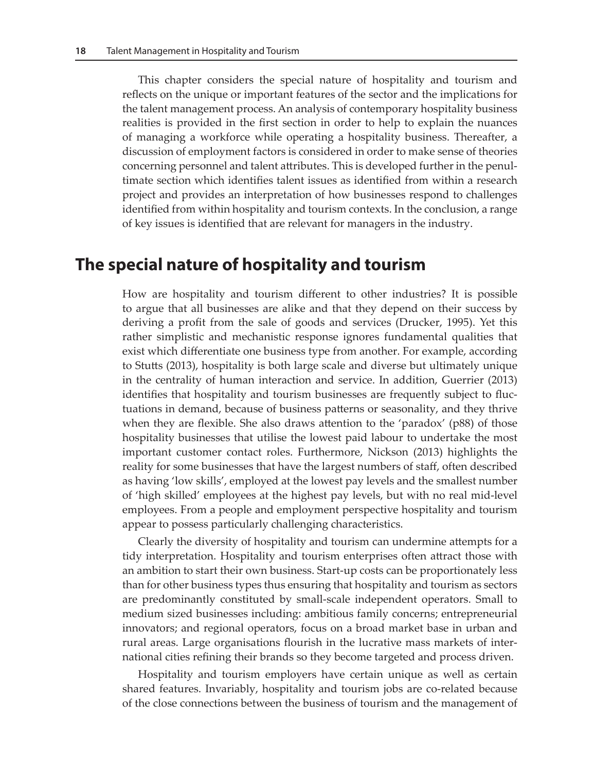This chapter considers the special nature of hospitality and tourism and reflects on the unique or important features of the sector and the implications for the talent management process. An analysis of contemporary hospitality business realities is provided in the first section in order to help to explain the nuances of managing a workforce while operating a hospitality business. Thereafter, a discussion of employment factors is considered in order to make sense of theories concerning personnel and talent attributes. This is developed further in the penultimate section which identifies talent issues as identified from within a research project and provides an interpretation of how businesses respond to challenges identified from within hospitality and tourism contexts. In the conclusion, a range of key issues is identified that are relevant for managers in the industry.

## **The special nature of hospitality and tourism**

How are hospitality and tourism different to other industries? It is possible to argue that all businesses are alike and that they depend on their success by deriving a profit from the sale of goods and services (Drucker, 1995). Yet this rather simplistic and mechanistic response ignores fundamental qualities that exist which differentiate one business type from another. For example, according to Stutts (2013), hospitality is both large scale and diverse but ultimately unique in the centrality of human interaction and service. In addition, Guerrier (2013) identifies that hospitality and tourism businesses are frequently subject to fluctuations in demand, because of business patterns or seasonality, and they thrive when they are flexible. She also draws attention to the 'paradox' (p88) of those hospitality businesses that utilise the lowest paid labour to undertake the most important customer contact roles. Furthermore, Nickson (2013) highlights the reality for some businesses that have the largest numbers of staff, often described as having 'low skills', employed at the lowest pay levels and the smallest number of 'high skilled' employees at the highest pay levels, but with no real mid-level employees. From a people and employment perspective hospitality and tourism appear to possess particularly challenging characteristics.

Clearly the diversity of hospitality and tourism can undermine attempts for a tidy interpretation. Hospitality and tourism enterprises often attract those with an ambition to start their own business. Start-up costs can be proportionately less than for other business types thus ensuring that hospitality and tourism as sectors are predominantly constituted by small-scale independent operators. Small to medium sized businesses including: ambitious family concerns; entrepreneurial innovators; and regional operators, focus on a broad market base in urban and rural areas. Large organisations flourish in the lucrative mass markets of international cities refining their brands so they become targeted and process driven.

Hospitality and tourism employers have certain unique as well as certain shared features. Invariably, hospitality and tourism jobs are co-related because of the close connections between the business of tourism and the management of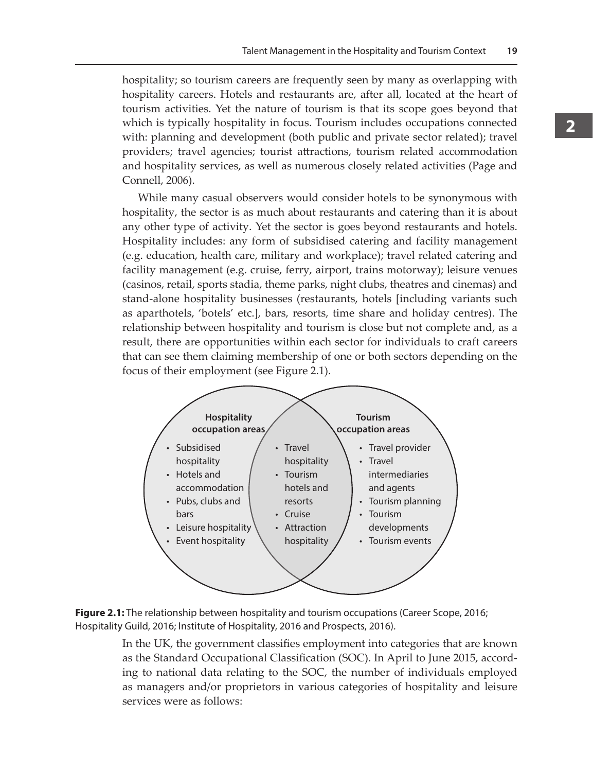hospitality; so tourism careers are frequently seen by many as overlapping with hospitality careers. Hotels and restaurants are, after all, located at the heart of tourism activities. Yet the nature of tourism is that its scope goes beyond that which is typically hospitality in focus. Tourism includes occupations connected with: planning and development (both public and private sector related); travel providers; travel agencies; tourist attractions, tourism related accommodation and hospitality services, as well as numerous closely related activities (Page and Connell, 2006).

While many casual observers would consider hotels to be synonymous with hospitality, the sector is as much about restaurants and catering than it is about any other type of activity. Yet the sector is goes beyond restaurants and hotels. Hospitality includes: any form of subsidised catering and facility management (e.g. education, health care, military and workplace); travel related catering and facility management (e.g. cruise, ferry, airport, trains motorway); leisure venues (casinos, retail, sports stadia, theme parks, night clubs, theatres and cinemas) and stand-alone hospitality businesses (restaurants, hotels [including variants such as aparthotels, 'botels' etc.], bars, resorts, time share and holiday centres). The relationship between hospitality and tourism is close but not complete and, as a result, there are opportunities within each sector for individuals to craft careers that can see them claiming membership of one or both sectors depending on the focus of their employment (see Figure 2.1).



**Figure 2.1:** The relationship between hospitality and tourism occupations (Career Scope, 2016; Hospitality Guild, 2016; Institute of Hospitality, 2016 and Prospects, 2016).

In the UK, the government classifies employment into categories that are known as the Standard Occupational Classification (SOC). In April to June 2015, according to national data relating to the SOC, the number of individuals employed as managers and/or proprietors in various categories of hospitality and leisure services were as follows: